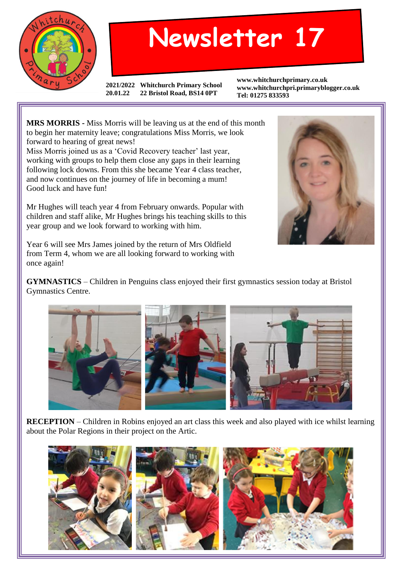

## **Newsletter 17**

**2021/2022 Whitchurch Primary School 20.01.22 22 Bristol Road, BS14 0PT**

**www.whitchurchprimary.co.uk www.whitchurchpri.primaryblogger.co.uk Tel: 01275 833593**

**MRS MORRIS -** Miss Morris will be leaving us at the end of this month to begin her maternity leave; congratulations Miss Morris, we look forward to hearing of great news!

Miss Morris joined us as a 'Covid Recovery teacher' last year, working with groups to help them close any gaps in their learning following lock downs. From this she became Year 4 class teacher, and now continues on the journey of life in becoming a mum! Good luck and have fun!

Mr Hughes will teach year 4 from February onwards. Popular with children and staff alike, Mr Hughes brings his teaching skills to this year group and we look forward to working with him.



Year 6 will see Mrs James joined by the return of Mrs Oldfield from Term 4, whom we are all looking forward to working with once again!

**GYMNASTICS** – Children in Penguins class enjoyed their first gymnastics session today at Bristol Gymnastics Centre.



**RECEPTION** – Children in Robins enjoyed an art class this week and also played with ice whilst learning about the Polar Regions in their project on the Artic.